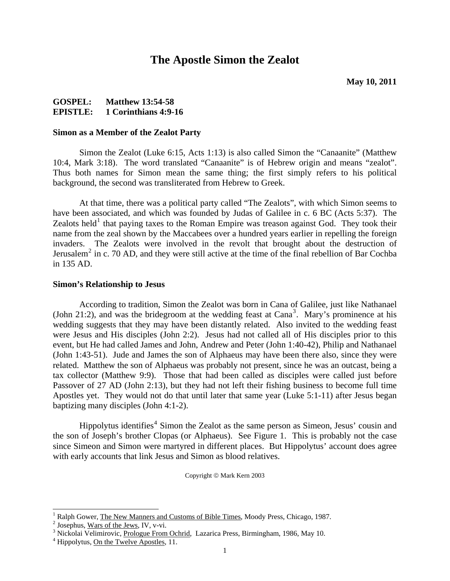# **The Apostle Simon the Zealot**

## **GOSPEL: Matthew 13:54-58 EPISTLE: 1 Corinthians 4:9-16**

#### **Simon as a Member of the Zealot Party**

Simon the Zealot (Luke 6:15, Acts 1:13) is also called Simon the "Canaanite" (Matthew 10:4, Mark 3:18). The word translated "Canaanite" is of Hebrew origin and means "zealot". Thus both names for Simon mean the same thing; the first simply refers to his political background, the second was transliterated from Hebrew to Greek.

At that time, there was a political party called "The Zealots", with which Simon seems to have been associated, and which was founded by Judas of Galilee in c. 6 BC (Acts 5:37). The Zealots held<sup>[1](#page-0-0)</sup> that paying taxes to the Roman Empire was treason against God. They took their name from the zeal shown by the Maccabees over a hundred years earlier in repelling the foreign invaders. The Zealots were involved in the revolt that brought about the destruction of Jerusalem<sup>[2](#page-0-1)</sup> in c. 70 AD, and they were still active at the time of the final rebellion of Bar Cochba in 135 AD.

#### **Simon's Relationship to Jesus**

According to tradition, Simon the Zealot was born in Cana of Galilee, just like Nathanael (John 21:2), and was the bridegroom at the wedding feast at Cana<sup>[3](#page-0-2)</sup>. Mary's prominence at his wedding suggests that they may have been distantly related. Also invited to the wedding feast were Jesus and His disciples (John 2:2). Jesus had not called all of His disciples prior to this event, but He had called James and John, Andrew and Peter (John 1:40-42), Philip and Nathanael (John 1:43-51). Jude and James the son of Alphaeus may have been there also, since they were related. Matthew the son of Alphaeus was probably not present, since he was an outcast, being a tax collector (Matthew 9:9). Those that had been called as disciples were called just before Passover of 27 AD (John 2:13), but they had not left their fishing business to become full time Apostles yet. They would not do that until later that same year (Luke 5:1-11) after Jesus began baptizing many disciples (John 4:1-2).

Hippolytus identifies<sup>[4](#page-0-3)</sup> Simon the Zealot as the same person as Simeon, Jesus' cousin and the son of Joseph's brother Clopas (or Alphaeus). See Figure 1. This is probably not the case since Simeon and Simon were martyred in different places. But Hippolytus' account does agree with early accounts that link Jesus and Simon as blood relatives.

Copyright © Mark Kern 2003

<sup>1</sup> Ralph Gower, The New Manners and Customs of Bible Times, Moody Press, Chicago, 1987. 2

<span id="page-0-1"></span><span id="page-0-0"></span> $<sup>2</sup>$  Josephus, Wars of the Jews, IV, v-vi.</sup>

<span id="page-0-2"></span><sup>&</sup>lt;sup>3</sup> Nickolai Velimirovic, Prologue From Ochrid, Lazarica Press, Birmingham, 1986, May 10.

<span id="page-0-3"></span> $<sup>4</sup>$  Hippolytus, On the Twelve Apostles, 11.</sup>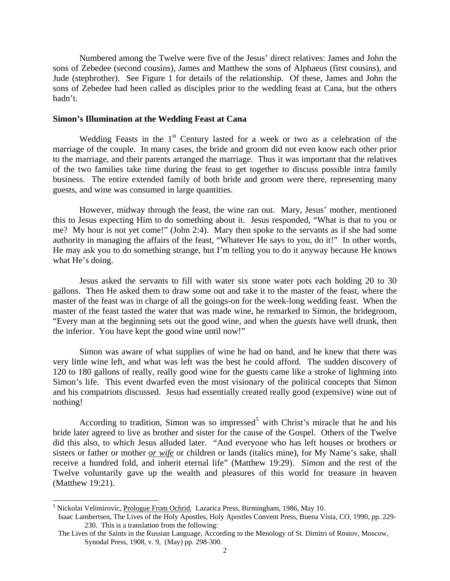Numbered among the Twelve were five of the Jesus' direct relatives: James and John the sons of Zebedee (second cousins), James and Matthew the sons of Alphaeus (first cousins), and Jude (stepbrother). See Figure 1 for details of the relationship. Of these, James and John the sons of Zebedee had been called as disciples prior to the wedding feast at Cana, but the others hadn't.

## **Simon's Illumination at the Wedding Feast at Cana**

Wedding Feasts in the  $1<sup>st</sup>$  Century lasted for a week or two as a celebration of the marriage of the couple. In many cases, the bride and groom did not even know each other prior to the marriage, and their parents arranged the marriage. Thus it was important that the relatives of the two families take time during the feast to get together to discuss possible intra family business. The entire extended family of both bride and groom were there, representing many guests, and wine was consumed in large quantities.

However, midway through the feast, the wine ran out. Mary, Jesus' mother, mentioned this to Jesus expecting Him to do something about it. Jesus responded, "What is that to you or me? My hour is not yet come!" (John 2:4). Mary then spoke to the servants as if she had some authority in managing the affairs of the feast, "Whatever He says to you, do it!" In other words, He may ask you to do something strange, but I'm telling you to do it anyway because He knows what He's doing.

Jesus asked the servants to fill with water six stone water pots each holding 20 to 30 gallons. Then He asked them to draw some out and take it to the master of the feast, where the master of the feast was in charge of all the goings-on for the week-long wedding feast. When the master of the feast tasted the water that was made wine, he remarked to Simon, the bridegroom, "Every man at the beginning sets out the good wine, and when the *guests* have well drunk, then the inferior. You have kept the good wine until now!"

Simon was aware of what supplies of wine he had on hand, and he knew that there was very little wine left, and what was left was the best he could afford. The sudden discovery of 120 to 180 gallons of really, really good wine for the guests came like a stroke of lightning into Simon's life. This event dwarfed even the most visionary of the political concepts that Simon and his compatriots discussed. Jesus had essentially created really good (expensive) wine out of nothing!

According to tradition, Simon was so impressed<sup>[5](#page-1-0)</sup> with Christ's miracle that he and his bride later agreed to live as brother and sister for the cause of the Gospel. Others of the Twelve did this also, to which Jesus alluded later. "And everyone who has left houses or brothers or sisters or father or mother *or wife* or children or lands (italics mine), for My Name's sake, shall receive a hundred fold, and inherit eternal life" (Matthew 19:29). Simon and the rest of the Twelve voluntarily gave up the wealth and pleasures of this world for treasure in heaven (Matthew 19:21).

l

<span id="page-1-0"></span><sup>&</sup>lt;sup>5</sup> Nickolai Velimirovic, Prologue From Ochrid, Lazarica Press, Birmingham, 1986, May 10.

Isaac Lambertsen, The Lives of the Holy Apostles, Holy Apostles Convent Press, Buena Vista, CO, 1990, pp. 229- 230. This is a translation from the following:

The Lives of the Saints in the Russian Language, According to the Menology of St. Dimitri of Rostov, Moscow, Synodal Press, 1908, v. 9, (May) pp. 298-300.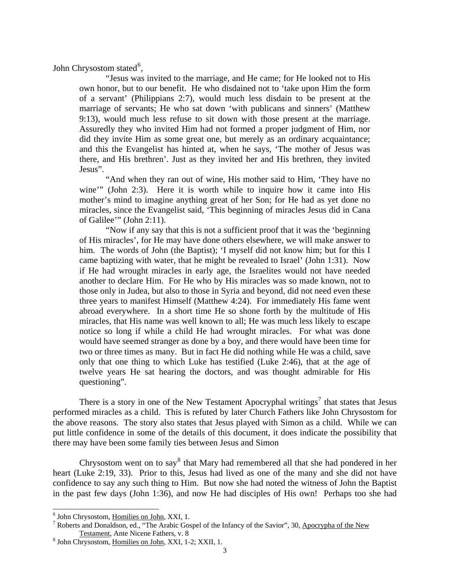John Chrysostom stated<sup>[6](#page-2-0)</sup>,

"Jesus was invited to the marriage, and He came; for He looked not to His own honor, but to our benefit. He who disdained not to 'take upon Him the form of a servant' (Philippians 2:7), would much less disdain to be present at the marriage of servants; He who sat down 'with publicans and sinners' (Matthew 9:13), would much less refuse to sit down with those present at the marriage. Assuredly they who invited Him had not formed a proper judgment of Him, nor did they invite Him as some great one, but merely as an ordinary acquaintance; and this the Evangelist has hinted at, when he says, 'The mother of Jesus was there, and His brethren'. Just as they invited her and His brethren, they invited Jesus".

"And when they ran out of wine, His mother said to Him, 'They have no wine'" (John 2:3). Here it is worth while to inquire how it came into His mother's mind to imagine anything great of her Son; for He had as yet done no miracles, since the Evangelist said, 'This beginning of miracles Jesus did in Cana of Galilee'" (John 2:11).

"Now if any say that this is not a sufficient proof that it was the 'beginning of His miracles', for He may have done others elsewhere, we will make answer to him. The words of John (the Baptist); 'I myself did not know him; but for this I came baptizing with water, that he might be revealed to Israel' (John 1:31). Now if He had wrought miracles in early age, the Israelites would not have needed another to declare Him. For He who by His miracles was so made known, not to those only in Judea, but also to those in Syria and beyond, did not need even these three years to manifest Himself (Matthew 4:24). For immediately His fame went abroad everywhere. In a short time He so shone forth by the multitude of His miracles, that His name was well known to all; He was much less likely to escape notice so long if while a child He had wrought miracles. For what was done would have seemed stranger as done by a boy, and there would have been time for two or three times as many. But in fact He did nothing while He was a child, save only that one thing to which Luke has testified (Luke 2:46), that at the age of twelve years He sat hearing the doctors, and was thought admirable for His questioning".

There is a story in one of the New Testament Apocryphal writings<sup>[7](#page-2-1)</sup> that states that Jesus performed miracles as a child. This is refuted by later Church Fathers like John Chrysostom for the above reasons. The story also states that Jesus played with Simon as a child. While we can put little confidence in some of the details of this document, it does indicate the possibility that there may have been some family ties between Jesus and Simon

Chrysostom went on to say<sup>[8](#page-2-2)</sup> that Mary had remembered all that she had pondered in her heart (Luke 2:19, 33). Prior to this, Jesus had lived as one of the many and she did not have confidence to say any such thing to Him. But now she had noted the witness of John the Baptist in the past few days (John 1:36), and now He had disciples of His own! Perhaps too she had

<span id="page-2-0"></span> $^6$  John Chrysostom, <u>Homilies on John</u>, XXI, 1.

<span id="page-2-1"></span><sup>&</sup>lt;sup>7</sup> Roberts and Donaldson, ed., "The Arabic Gospel of the Infancy of the Savior", 30, Apocrypha of the New Testament, Ante Nicene Fathers, v. 8

<span id="page-2-2"></span><sup>&</sup>lt;sup>8</sup> John Chrysostom, Homilies on John, XXI, 1-2; XXII, 1.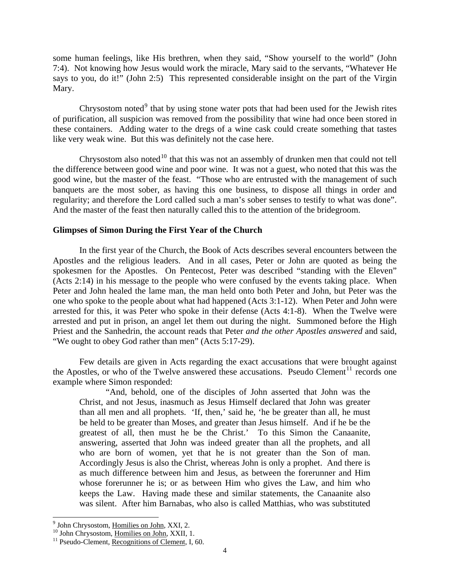some human feelings, like His brethren, when they said, "Show yourself to the world" (John 7:4). Not knowing how Jesus would work the miracle, Mary said to the servants, "Whatever He says to you, do it!" (John 2:5) This represented considerable insight on the part of the Virgin Mary.

Chrysostom noted $9$  that by using stone water pots that had been used for the Jewish rites of purification, all suspicion was removed from the possibility that wine had once been stored in these containers. Adding water to the dregs of a wine cask could create something that tastes like very weak wine. But this was definitely not the case here.

Chrysostom also noted $10$  that this was not an assembly of drunken men that could not tell the difference between good wine and poor wine. It was not a guest, who noted that this was the good wine, but the master of the feast. "Those who are entrusted with the management of such banquets are the most sober, as having this one business, to dispose all things in order and regularity; and therefore the Lord called such a man's sober senses to testify to what was done". And the master of the feast then naturally called this to the attention of the bridegroom.

## **Glimpses of Simon During the First Year of the Church**

In the first year of the Church, the Book of Acts describes several encounters between the Apostles and the religious leaders. And in all cases, Peter or John are quoted as being the spokesmen for the Apostles. On Pentecost, Peter was described "standing with the Eleven" (Acts 2:14) in his message to the people who were confused by the events taking place. When Peter and John healed the lame man, the man held onto both Peter and John, but Peter was the one who spoke to the people about what had happened (Acts 3:1-12). When Peter and John were arrested for this, it was Peter who spoke in their defense (Acts 4:1-8). When the Twelve were arrested and put in prison, an angel let them out during the night. Summoned before the High Priest and the Sanhedrin, the account reads that Peter *and the other Apostles answered* and said, "We ought to obey God rather than men" (Acts 5:17-29).

Few details are given in Acts regarding the exact accusations that were brought against the Apostles, or who of the Twelve answered these accusations. Pseudo Clement<sup>[11](#page-3-2)</sup> records one example where Simon responded:

"And, behold, one of the disciples of John asserted that John was the Christ, and not Jesus, inasmuch as Jesus Himself declared that John was greater than all men and all prophets. 'If, then,' said he, 'he be greater than all, he must be held to be greater than Moses, and greater than Jesus himself. And if he be the greatest of all, then must he be the Christ.' To this Simon the Canaanite, answering, asserted that John was indeed greater than all the prophets, and all who are born of women, yet that he is not greater than the Son of man. Accordingly Jesus is also the Christ, whereas John is only a prophet. And there is as much difference between him and Jesus, as between the forerunner and Him whose forerunner he is; or as between Him who gives the Law, and him who keeps the Law. Having made these and similar statements, the Canaanite also was silent. After him Barnabas, who also is called Matthias, who was substituted

<sup>&</sup>lt;sup>9</sup> John Chrysostom, Homilies on John, XXI, 2.

<span id="page-3-1"></span><span id="page-3-0"></span><sup>&</sup>lt;sup>10</sup> John Chrysostom, <u>Homilies on John</u>, XXII, 1.<br><sup>11</sup> Pseudo-Clement, Recognitions of Clement, I, 60.

<span id="page-3-2"></span>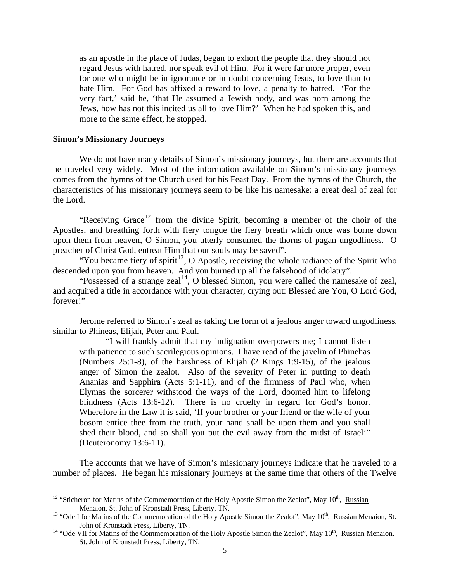as an apostle in the place of Judas, began to exhort the people that they should not regard Jesus with hatred, nor speak evil of Him. For it were far more proper, even for one who might be in ignorance or in doubt concerning Jesus, to love than to hate Him. For God has affixed a reward to love, a penalty to hatred. 'For the very fact,' said he, 'that He assumed a Jewish body, and was born among the Jews, how has not this incited us all to love Him?' When he had spoken this, and more to the same effect, he stopped.

#### **Simon's Missionary Journeys**

 $\overline{a}$ 

We do not have many details of Simon's missionary journeys, but there are accounts that he traveled very widely. Most of the information available on Simon's missionary journeys comes from the hymns of the Church used for his Feast Day. From the hymns of the Church, the characteristics of his missionary journeys seem to be like his namesake: a great deal of zeal for the Lord.

"Receiving Grace<sup>[12](#page-4-0)</sup> from the divine Spirit, becoming a member of the choir of the Apostles, and breathing forth with fiery tongue the fiery breath which once was borne down upon them from heaven, O Simon, you utterly consumed the thorns of pagan ungodliness. O preacher of Christ God, entreat Him that our souls may be saved".

"You became fiery of spirit<sup>[13](#page-4-1)</sup>, O Apostle, receiving the whole radiance of the Spirit Who descended upon you from heaven. And you burned up all the falsehood of idolatry".

"Possessed of a strange zeal<sup>[14](#page-4-2)</sup>, O blessed Simon, you were called the namesake of zeal, and acquired a title in accordance with your character, crying out: Blessed are You, O Lord God, forever!"

Jerome referred to Simon's zeal as taking the form of a jealous anger toward ungodliness, similar to Phineas, Elijah, Peter and Paul.

"I will frankly admit that my indignation overpowers me; I cannot listen with patience to such sacrilegious opinions. I have read of the javelin of Phinehas (Numbers 25:1-8), of the harshness of Elijah (2 Kings 1:9-15), of the jealous anger of Simon the zealot. Also of the severity of Peter in putting to death Ananias and Sapphira (Acts 5:1-11), and of the firmness of Paul who, when Elymas the sorcerer withstood the ways of the Lord, doomed him to lifelong blindness (Acts 13:6-12). There is no cruelty in regard for God's honor. Wherefore in the Law it is said, 'If your brother or your friend or the wife of your bosom entice thee from the truth, your hand shall be upon them and you shall shed their blood, and so shall you put the evil away from the midst of Israel'" (Deuteronomy 13:6-11).

The accounts that we have of Simon's missionary journeys indicate that he traveled to a number of places. He began his missionary journeys at the same time that others of the Twelve

<span id="page-4-0"></span><sup>&</sup>lt;sup>12</sup> "Sticheron for Matins of the Commemoration of the Holy Apostle Simon the Zealot", May  $10^{th}$ , Russian Menaion, St. John of Kronstadt Press, Liberty, TN.

<span id="page-4-1"></span><sup>&</sup>lt;sup>13</sup> "Ode I for Matins of the Commemoration of the Holy Apostle Simon the Zealot", May  $10<sup>th</sup>$ , Russian Menaion, St. John of Kronstadt Press, Liberty, TN.<br><sup>14</sup> "Ode VII for Matins of the Commemoration of the Holy Apostle Simon the Zealot", May 10<sup>th</sup>, Russian Menaion,

<span id="page-4-2"></span>St. John of Kronstadt Press, Liberty, TN.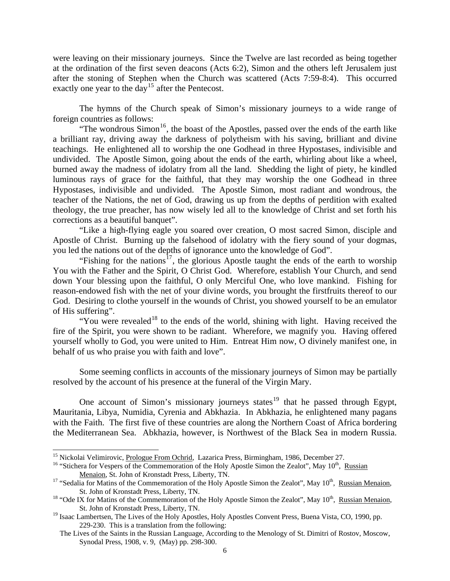were leaving on their missionary journeys. Since the Twelve are last recorded as being together at the ordination of the first seven deacons (Acts 6:2), Simon and the others left Jerusalem just after the stoning of Stephen when the Church was scattered (Acts 7:59-8:4). This occurred exactly one year to the day<sup>[15](#page-5-0)</sup> after the Pentecost.

The hymns of the Church speak of Simon's missionary journeys to a wide range of foreign countries as follows:

"The wondrous  $Simon^{16}$  $Simon^{16}$  $Simon^{16}$ , the boast of the Apostles, passed over the ends of the earth like a brilliant ray, driving away the darkness of polytheism with his saving, brilliant and divine teachings. He enlightened all to worship the one Godhead in three Hypostases, indivisible and undivided. The Apostle Simon, going about the ends of the earth, whirling about like a wheel, burned away the madness of idolatry from all the land. Shedding the light of piety, he kindled luminous rays of grace for the faithful, that they may worship the one Godhead in three Hypostases, indivisible and undivided. The Apostle Simon, most radiant and wondrous, the teacher of the Nations, the net of God, drawing us up from the depths of perdition with exalted theology, the true preacher, has now wisely led all to the knowledge of Christ and set forth his corrections as a beautiful banquet".

"Like a high-flying eagle you soared over creation, O most sacred Simon, disciple and Apostle of Christ. Burning up the falsehood of idolatry with the fiery sound of your dogmas, you led the nations out of the depths of ignorance unto the knowledge of God".

"Fishing for the nations<sup>[17](#page-5-2)</sup>, the glorious Apostle taught the ends of the earth to worship You with the Father and the Spirit, O Christ God. Wherefore, establish Your Church, and send down Your blessing upon the faithful, O only Merciful One, who love mankind. Fishing for reason-endowed fish with the net of your divine words, you brought the firstfruits thereof to our God. Desiring to clothe yourself in the wounds of Christ, you showed yourself to be an emulator of His suffering".

"You were revealed<sup>[18](#page-5-3)</sup> to the ends of the world, shining with light. Having received the fire of the Spirit, you were shown to be radiant. Wherefore, we magnify you. Having offered yourself wholly to God, you were united to Him. Entreat Him now, O divinely manifest one, in behalf of us who praise you with faith and love".

Some seeming conflicts in accounts of the missionary journeys of Simon may be partially resolved by the account of his presence at the funeral of the Virgin Mary.

One account of Simon's missionary journeys states<sup>[19](#page-5-4)</sup> that he passed through Egypt, Mauritania, Libya, Numidia, Cyrenia and Abkhazia. In Abkhazia, he enlightened many pagans with the Faith. The first five of these countries are along the Northern Coast of Africa bordering the Mediterranean Sea. Abkhazia, however, is Northwest of the Black Sea in modern Russia.

<span id="page-5-0"></span><sup>&</sup>lt;sup>15</sup> Nickolai Velimirovic, Prologue From Ochrid, Lazarica Press, Birmingham, 1986, December 27.

<span id="page-5-1"></span><sup>&</sup>lt;sup>16</sup> "Stichera for Vespers of the Commemoration of the Holy Apostle Simon the Zealot", May 10<sup>th</sup>, Russian Menaion, St. John of Kronstadt Press, Liberty, TN.<br><sup>17</sup> "Sedalia for Matins of the Commemoration of the Holy Apostle Simon the Zealot", May 10<sup>th</sup>, Russian Menaion,

<span id="page-5-2"></span>St. John of Kronstadt Press, Liberty, TN.<br><sup>18</sup> "Ode IX for Matins of the Commemoration of the Holy Apostle Simon the Zealot", May 10<sup>th</sup>, Russian Menaion,

<span id="page-5-3"></span>St. John of Kronstadt Press, Liberty, TN.

<span id="page-5-4"></span><sup>&</sup>lt;sup>19</sup> Isaac Lambertsen, The Lives of the Holy Apostles, Holy Apostles Convent Press, Buena Vista, CO, 1990, pp. 229-230. This is a translation from the following:

The Lives of the Saints in the Russian Language, According to the Menology of St. Dimitri of Rostov, Moscow, Synodal Press, 1908, v. 9, (May) pp. 298-300.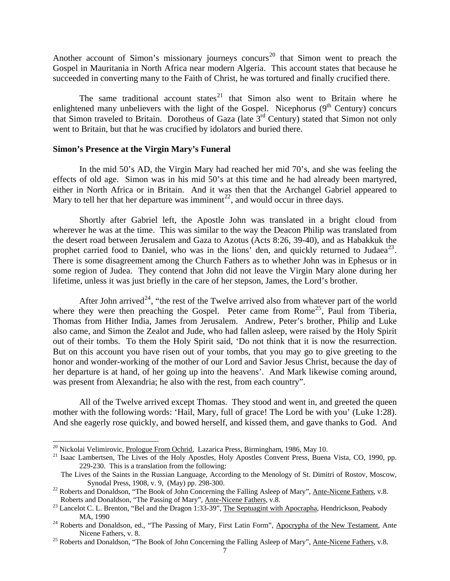Another account of Simon's missionary journeys concurs<sup>[20](#page-6-0)</sup> that Simon went to preach the Gospel in Mauritania in North Africa near modern Algeria. This account states that because he succeeded in converting many to the Faith of Christ, he was tortured and finally crucified there.

The same traditional account states<sup>[21](#page-6-1)</sup> that Simon also went to Britain where he enlightened many unbelievers with the light of the Gospel. Nicephorus  $(9<sup>th</sup>$  Century) concurs that Simon traveled to Britain. Dorotheus of Gaza (late  $3<sup>rd</sup>$  Century) stated that Simon not only went to Britain, but that he was crucified by idolators and buried there.

#### **Simon's Presence at the Virgin Mary's Funeral**

In the mid 50's AD, the Virgin Mary had reached her mid 70's, and she was feeling the effects of old age. Simon was in his mid 50's at this time and he had already been martyred, either in North Africa or in Britain. And it was then that the Archangel Gabriel appeared to Mary to tell her that her departure was imminent<sup>[22](#page-6-2)</sup>, and would occur in three days.

 Shortly after Gabriel left, the Apostle John was translated in a bright cloud from wherever he was at the time. This was similar to the way the Deacon Philip was translated from the desert road between Jerusalem and Gaza to Azotus (Acts 8:26, 39-40), and as Habakkuk the prophet carried food to Daniel, who was in the lions' den, and quickly returned to Judaea<sup>[23](#page-6-3)</sup>. There is some disagreement among the Church Fathers as to whether John was in Ephesus or in some region of Judea. They contend that John did not leave the Virgin Mary alone during her lifetime, unless it was just briefly in the care of her stepson, James, the Lord's brother.

After John arrived<sup>[24](#page-6-4)</sup>, "the rest of the Twelve arrived also from whatever part of the world where they were then preaching the Gospel. Peter came from  $Rome<sup>25</sup>$  $Rome<sup>25</sup>$  $Rome<sup>25</sup>$ , Paul from Tiberia, Thomas from Hither India, James from Jerusalem. Andrew, Peter's brother, Philip and Luke also came, and Simon the Zealot and Jude, who had fallen asleep, were raised by the Holy Spirit out of their tombs. To them the Holy Spirit said, 'Do not think that it is now the resurrection. But on this account you have risen out of your tombs, that you may go to give greeting to the honor and wonder-working of the mother of our Lord and Savior Jesus Christ, because the day of her departure is at hand, of her going up into the heavens'. And Mark likewise coming around, was present from Alexandria; he also with the rest, from each country".

All of the Twelve arrived except Thomas. They stood and went in, and greeted the queen mother with the following words: 'Hail, Mary, full of grace! The Lord be with you' (Luke 1:28). And she eagerly rose quickly, and bowed herself, and kissed them, and gave thanks to God. And

<span id="page-6-1"></span><span id="page-6-0"></span><sup>&</sup>lt;sup>20</sup> Nickolai Velimirovic, <u>Prologue From Ochrid</u>, Lazarica Press, Birmingham, 1986, May 10.<br><sup>21</sup> Isaac Lambertsen, The Lives of the Holy Apostles, Holy Apostles Convent Press, Buena Vista, CO, 1990, pp. 229-230. This is a translation from the following:

The Lives of the Saints in the Russian Language, According to the Menology of St. Dimitri of Rostov, Moscow, Synodal Press, 1908, v. 9, (May) pp. 298-300.<br><sup>22</sup> Roberts and Donaldson, "The Book of John Concerning the Falling Asleep of Mary", <u>Ante-Nicene Fathers</u>, v.8.

<span id="page-6-2"></span>Roberts and Donaldson, "The Passing of Mary", Ante-Nicene Fathers, v.8.<br><sup>23</sup> Lancelot C. L. Brenton, "Bel and the Dragon 1:33-39", <u>The Septuagint with Apocrapha</u>, Hendrickson, Peabody

<span id="page-6-3"></span>MA, 1990<br><sup>24</sup> Roberts and Donaldson, ed., "The Passing of Mary, First Latin Form", Apocrypha of the New Testament, Ante

<span id="page-6-4"></span>Nicene Fathers, v. 8.<br><sup>25</sup> Roberts and Donaldson, "The Book of John Concerning the Falling Asleep of Mary", <u>Ante-Nicene Fathers</u>, v.8.

<span id="page-6-5"></span>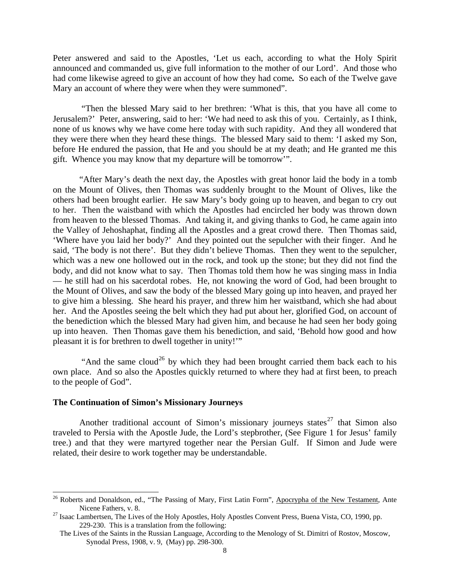Peter answered and said to the Apostles, 'Let us each, according to what the Holy Spirit announced and commanded us, give full information to the mother of our Lord'. And those who had come likewise agreed to give an account of how they had come**.** So each of the Twelve gave Mary an account of where they were when they were summoned".

 "Then the blessed Mary said to her brethren: 'What is this, that you have all come to Jerusalem?' Peter, answering, said to her: 'We had need to ask this of you. Certainly, as I think, none of us knows why we have come here today with such rapidity. And they all wondered that they were there when they heard these things. The blessed Mary said to them: 'I asked my Son, before He endured the passion, that He and you should be at my death; and He granted me this gift. Whence you may know that my departure will be tomorrow'".

"After Mary's death the next day, the Apostles with great honor laid the body in a tomb on the Mount of Olives, then Thomas was suddenly brought to the Mount of Olives, like the others had been brought earlier. He saw Mary's body going up to heaven, and began to cry out to her. Then the waistband with which the Apostles had encircled her body was thrown down from heaven to the blessed Thomas. And taking it, and giving thanks to God, he came again into the Valley of Jehoshaphat, finding all the Apostles and a great crowd there. Then Thomas said, 'Where have you laid her body?' And they pointed out the sepulcher with their finger. And he said, 'The body is not there'. But they didn't believe Thomas. Then they went to the sepulcher, which was a new one hollowed out in the rock, and took up the stone; but they did not find the body, and did not know what to say. Then Thomas told them how he was singing mass in India — he still had on his sacerdotal robes. He, not knowing the word of God, had been brought to the Mount of Olives, and saw the body of the blessed Mary going up into heaven, and prayed her to give him a blessing. She heard his prayer, and threw him her waistband, which she had about her. And the Apostles seeing the belt which they had put about her, glorified God, on account of the benediction which the blessed Mary had given him, and because he had seen her body going up into heaven. Then Thomas gave them his benediction, and said, 'Behold how good and how pleasant it is for brethren to dwell together in unity!'"

"And the same cloud<sup>[26](#page-7-0)</sup> by which they had been brought carried them back each to his own place. And so also the Apostles quickly returned to where they had at first been, to preach to the people of God".

#### **The Continuation of Simon's Missionary Journeys**

 $\overline{a}$ 

Another traditional account of Simon's missionary journeys states<sup>[27](#page-7-1)</sup> that Simon also traveled to Persia with the Apostle Jude, the Lord's stepbrother, (See Figure 1 for Jesus' family tree.) and that they were martyred together near the Persian Gulf. If Simon and Jude were related, their desire to work together may be understandable.

<span id="page-7-0"></span><sup>&</sup>lt;sup>26</sup> Roberts and Donaldson, ed., "The Passing of Mary, First Latin Form", Apocrypha of the New Testament, Ante Nicene Fathers, v. 8.

<span id="page-7-1"></span> $^{27}$  Isaac Lambertsen, The Lives of the Holy Apostles, Holy Apostles Convent Press, Buena Vista, CO, 1990, pp. 229-230. This is a translation from the following:

The Lives of the Saints in the Russian Language, According to the Menology of St. Dimitri of Rostov, Moscow, Synodal Press, 1908, v. 9, (May) pp. 298-300.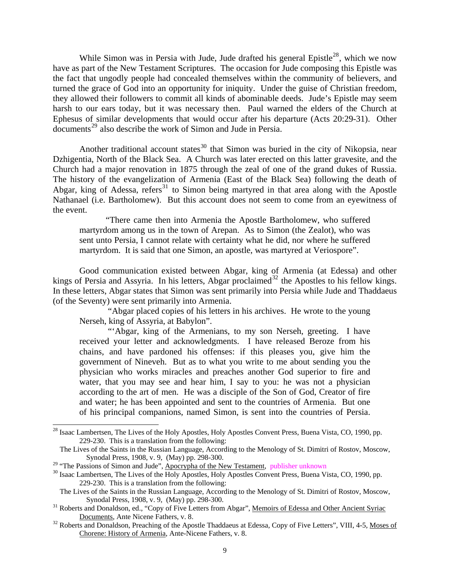While Simon was in Persia with Jude, Jude drafted his general Epistle<sup>[28](#page-8-0)</sup>, which we now have as part of the New Testament Scriptures. The occasion for Jude composing this Epistle was the fact that ungodly people had concealed themselves within the community of believers, and turned the grace of God into an opportunity for iniquity. Under the guise of Christian freedom, they allowed their followers to commit all kinds of abominable deeds. Jude's Epistle may seem harsh to our ears today, but it was necessary then. Paul warned the elders of the Church at Ephesus of similar developments that would occur after his departure (Acts 20:29-31). Other documents<sup>[29](#page-8-1)</sup> also describe the work of Simon and Jude in Persia.

Another traditional account states<sup>[30](#page-8-2)</sup> that Simon was buried in the city of Nikopsia, near Dzhigentia, North of the Black Sea. A Church was later erected on this latter gravesite, and the Church had a major renovation in 1875 through the zeal of one of the grand dukes of Russia. The history of the evangelization of Armenia (East of the Black Sea) following the death of Abgar, king of Adessa, refers<sup>[31](#page-8-3)</sup> to Simon being martyred in that area along with the Apostle Nathanael (i.e. Bartholomew). But this account does not seem to come from an eyewitness of the event.

"There came then into Armenia the Apostle Bartholomew, who suffered martyrdom among us in the town of Arepan. As to Simon (the Zealot), who was sent unto Persia, I cannot relate with certainty what he did, nor where he suffered martyrdom. It is said that one Simon, an apostle, was martyred at Veriospore".

Good communication existed between Abgar, king of Armenia (at Edessa) and other kings of Persia and Assyria. In his letters, Abgar proclaimed<sup>[32](#page-8-4)</sup> the Apostles to his fellow kings. In these letters, Abgar states that Simon was sent primarily into Persia while Jude and Thaddaeus (of the Seventy) were sent primarily into Armenia.

 "Abgar placed copies of his letters in his archives. He wrote to the young Nerseh, king of Assyria, at Babylon".

 "'Abgar, king of the Armenians, to my son Nerseh, greeting. I have received your letter and acknowledgments. I have released Beroze from his chains, and have pardoned his offenses: if this pleases you, give him the government of Nineveh. But as to what you write to me about sending you the physician who works miracles and preaches another God superior to fire and water, that you may see and hear him, I say to you: he was not a physician according to the art of men. He was a disciple of the Son of God, Creator of fire and water; he has been appointed and sent to the countries of Armenia. But one of his principal companions, named Simon, is sent into the countries of Persia.

<span id="page-8-0"></span><sup>&</sup>lt;sup>28</sup> Isaac Lambertsen, The Lives of the Holy Apostles, Holy Apostles Convent Press, Buena Vista, CO, 1990, pp. 229-230. This is a translation from the following:

The Lives of the Saints in the Russian Language, According to the Menology of St. Dimitri of Rostov, Moscow, Synodal Press, 1908, v. 9, (May) pp. 298-300.<br><sup>29</sup> "The Passions of Simon and Jude", <u>Apocrypha of the New Testament</u>, publisher unknown

<span id="page-8-1"></span>

<span id="page-8-2"></span> $^{30}$  Isaac Lambertsen, The Lives of the Holy Apostles, Holy Apostles Convent Press, Buena Vista, CO, 1990, pp. 229-230. This is a translation from the following:

The Lives of the Saints in the Russian Language, According to the Menology of St. Dimitri of Rostov, Moscow, Synodal Press, 1908, v. 9, (May) pp. 298-300.<br><sup>31</sup> Roberts and Donaldson, ed., "Copy of Five Letters from Abgar", <u>Memoirs of Edessa and Other Ancient Syriac</u>

<span id="page-8-3"></span>Documents, Ante Nicene Fathers, v. 8.<br><sup>32</sup> Roberts and Donaldson, Preaching of the Apostle Thaddaeus at Edessa, Copy of Five Letters", VIII, 4-5, Moses of

<span id="page-8-4"></span>Chorene: History of Armenia, Ante-Nicene Fathers, v. 8.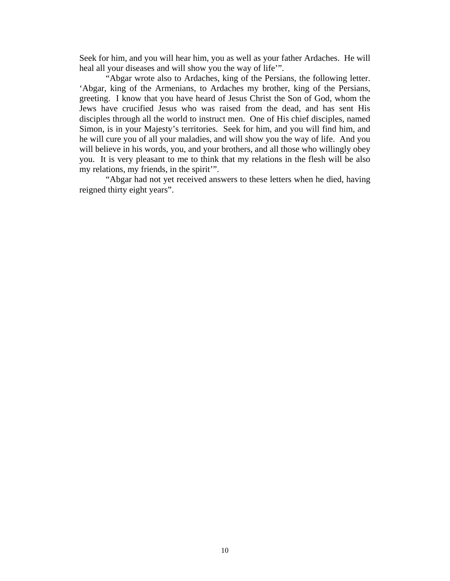Seek for him, and you will hear him, you as well as your father Ardaches. He will heal all your diseases and will show you the way of life'".

"Abgar wrote also to Ardaches, king of the Persians, the following letter. 'Abgar, king of the Armenians, to Ardaches my brother, king of the Persians, greeting. I know that you have heard of Jesus Christ the Son of God, whom the Jews have crucified Jesus who was raised from the dead, and has sent His disciples through all the world to instruct men. One of His chief disciples, named Simon, is in your Majesty's territories. Seek for him, and you will find him, and he will cure you of all your maladies, and will show you the way of life. And you will believe in his words, you, and your brothers, and all those who willingly obey you. It is very pleasant to me to think that my relations in the flesh will be also my relations, my friends, in the spirit'".

"Abgar had not yet received answers to these letters when he died, having reigned thirty eight years".